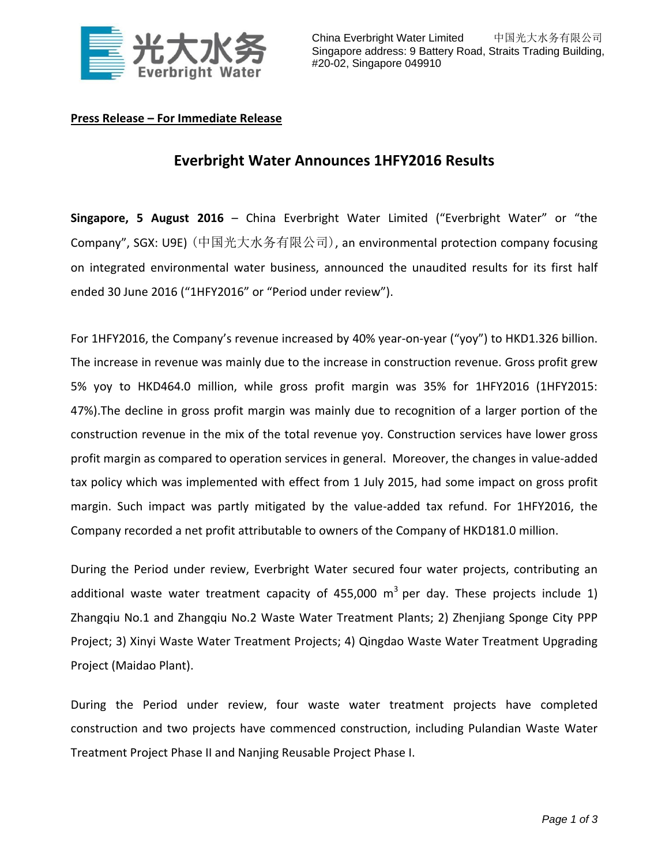

## **Press Release – For Immediate Release**

## **Everbright Water Announces 1HFY2016 Results**

**Singapore, 5 August 2016** – China Everbright Water Limited ("Everbright Water" or "the Company", SGX: U9E) (中国光大水务有限公司), an environmental protection company focusing on integrated environmental water business, announced the unaudited results for its first half ended 30 June 2016 ("1HFY2016" or "Period under review").

For 1HFY2016, the Company's revenue increased by 40% year-on-year ("yoy") to HKD1.326 billion. The increase in revenue was mainly due to the increase in construction revenue. Gross profit grew 5% yoy to HKD464.0 million, while gross profit margin was 35% for 1HFY2016 (1HFY2015: 47%).The decline in gross profit margin was mainly due to recognition of a larger portion of the construction revenue in the mix of the total revenue yoy. Construction services have lower gross profit margin as compared to operation services in general. Moreover, the changes in value-added tax policy which was implemented with effect from 1 July 2015, had some impact on gross profit margin. Such impact was partly mitigated by the value-added tax refund. For 1HFY2016, the Company recorded a net profit attributable to owners of the Company of HKD181.0 million.

During the Period under review, Everbright Water secured four water projects, contributing an additional waste water treatment capacity of 455,000  $m^3$  per day. These projects include 1) Zhangqiu No.1 and Zhangqiu No.2 Waste Water Treatment Plants; 2) Zhenjiang Sponge City PPP Project; 3) Xinyi Waste Water Treatment Projects; 4) Qingdao Waste Water Treatment Upgrading Project (Maidao Plant).

During the Period under review, four waste water treatment projects have completed construction and two projects have commenced construction, including Pulandian Waste Water Treatment Project Phase II and Nanjing Reusable Project Phase I.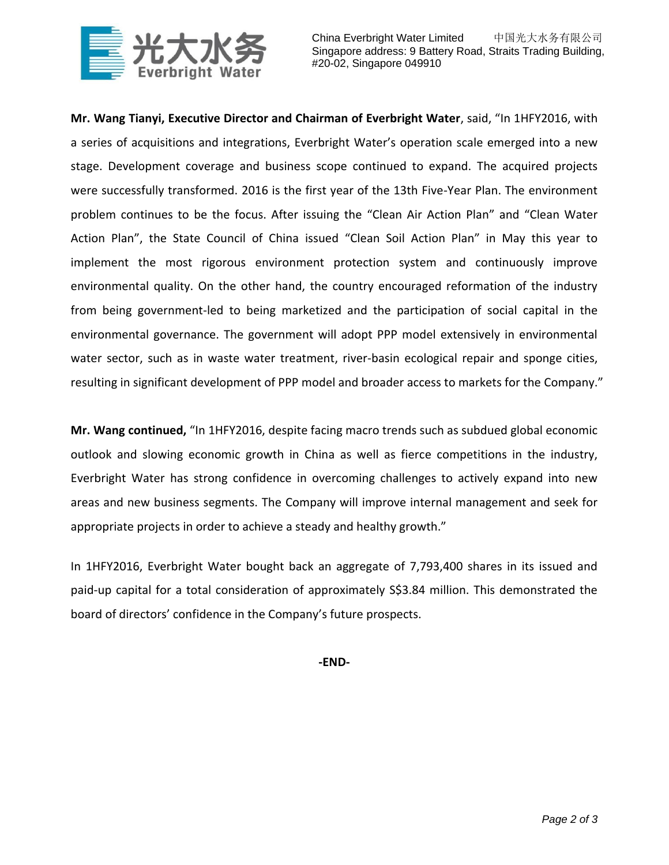

China Everbright Water Limited 中国光大水务有限公司 Singapore address: 9 Battery Road, Straits Trading Building, #20-02, Singapore 049910

**Mr. Wang Tianyi, Executive Director and Chairman of Everbright Water**, said, "In 1HFY2016, with a series of acquisitions and integrations, Everbright Water's operation scale emerged into a new stage. Development coverage and business scope continued to expand. The acquired projects were successfully transformed. 2016 is the first year of the 13th Five-Year Plan. The environment problem continues to be the focus. After issuing the "Clean Air Action Plan" and "Clean Water Action Plan", the State Council of China issued "Clean Soil Action Plan" in May this year to implement the most rigorous environment protection system and continuously improve environmental quality. On the other hand, the country encouraged reformation of the industry from being government-led to being marketized and the participation of social capital in the environmental governance. The government will adopt PPP model extensively in environmental water sector, such as in waste water treatment, river-basin ecological repair and sponge cities, resulting in significant development of PPP model and broader access to markets for the Company."

**Mr. Wang continued,** "In 1HFY2016, despite facing macro trends such as subdued global economic outlook and slowing economic growth in China as well as fierce competitions in the industry, Everbright Water has strong confidence in overcoming challenges to actively expand into new areas and new business segments. The Company will improve internal management and seek for appropriate projects in order to achieve a steady and healthy growth."

In 1HFY2016, Everbright Water bought back an aggregate of 7,793,400 shares in its issued and paid-up capital for a total consideration of approximately S\$3.84 million. This demonstrated the board of directors' confidence in the Company's future prospects.

**-END-**